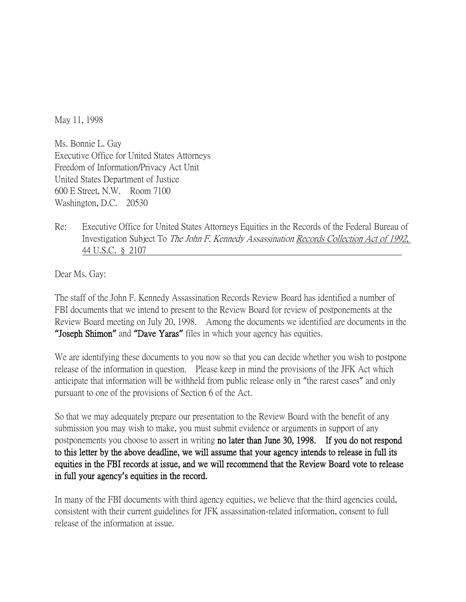May 11, 1998

Ms. Bonnie L. Gay Executive Office for United States Attorneys Freedom of Information/Privacy Act Unit United States Department of Justice 600 E Street, N.W. Room 7100 Washington, D.C. 20530

Re: Executive Office for United States Attorneys Equities in the Records of the Federal Bureau of Investigation Subject To The John F. Kennedy Assassination Records Collection Act of 1992, 44 U.S.C. § 2107

Dear Ms. Gay:

The staff of the John F. Kennedy Assassination Records Review Board has identified a number of FBI documents that we intend to present to the Review Board for review of postponements at the Review Board meeting on July 20, 1998. Among the documents we identified are documents in the **"**Joseph Shimon**"** and **"**Dave Yaras**"** files in which your agency has equities.

We are identifying these documents to you now so that you can decide whether you wish to postpone release of the information in question. Please keep in mind the provisions of the JFK Act which anticipate that information will be withheld from public release only in "the rarest cases" and only pursuant to one of the provisions of Section 6 of the Act.

So that we may adequately prepare our presentation to the Review Board with the benefit of any submission you may wish to make, you must submit evidence or arguments in support of any postponements you choose to assert in writing no later than June 30, 1998. If you do not respond to this letter by the above deadline, we will assume that your agency intends to release in full its equities in the FBI records at issue, and we will recommend that the Review Board vote to release in full your agency**'**s equities in the record.

In many of the FBI documents with third agency equities, we believe that the third agencies could, consistent with their current guidelines for JFK assassination-related information, consent to full release of the information at issue.